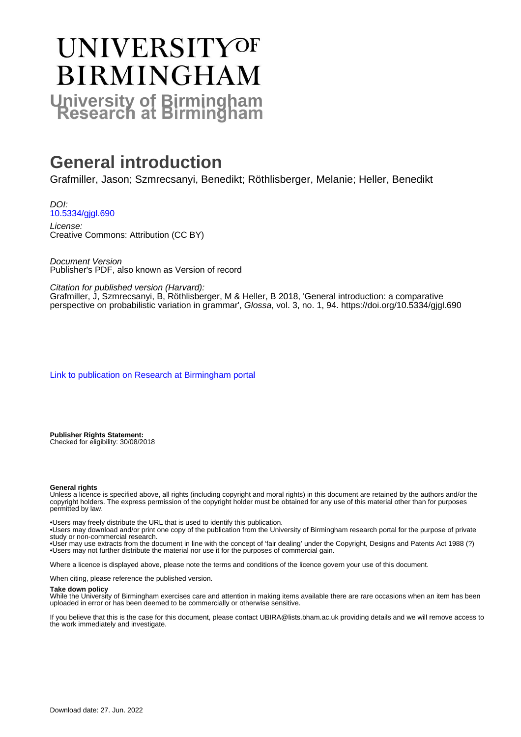# **UNIVERSITYOF BIRMINGHAM University of Birmingham**

# **General introduction**

Grafmiller, Jason; Szmrecsanyi, Benedikt; Röthlisberger, Melanie; Heller, Benedikt

DOI: [10.5334/gjgl.690](https://doi.org/10.5334/gjgl.690)

License: Creative Commons: Attribution (CC BY)

Document Version Publisher's PDF, also known as Version of record

Citation for published version (Harvard):

Grafmiller, J, Szmrecsanyi, B, Röthlisberger, M & Heller, B 2018, 'General introduction: a comparative perspective on probabilistic variation in grammar', Glossa, vol. 3, no. 1, 94. <https://doi.org/10.5334/gjgl.690>

[Link to publication on Research at Birmingham portal](https://birmingham.elsevierpure.com/en/publications/d07a32ec-5b4a-47fb-8421-e94982c4718c)

**Publisher Rights Statement:** Checked for eligibility: 30/08/2018

#### **General rights**

Unless a licence is specified above, all rights (including copyright and moral rights) in this document are retained by the authors and/or the copyright holders. The express permission of the copyright holder must be obtained for any use of this material other than for purposes permitted by law.

• Users may freely distribute the URL that is used to identify this publication.

• Users may download and/or print one copy of the publication from the University of Birmingham research portal for the purpose of private study or non-commercial research.

• User may use extracts from the document in line with the concept of 'fair dealing' under the Copyright, Designs and Patents Act 1988 (?) • Users may not further distribute the material nor use it for the purposes of commercial gain.

Where a licence is displayed above, please note the terms and conditions of the licence govern your use of this document.

When citing, please reference the published version.

#### **Take down policy**

While the University of Birmingham exercises care and attention in making items available there are rare occasions when an item has been uploaded in error or has been deemed to be commercially or otherwise sensitive.

If you believe that this is the case for this document, please contact UBIRA@lists.bham.ac.uk providing details and we will remove access to the work immediately and investigate.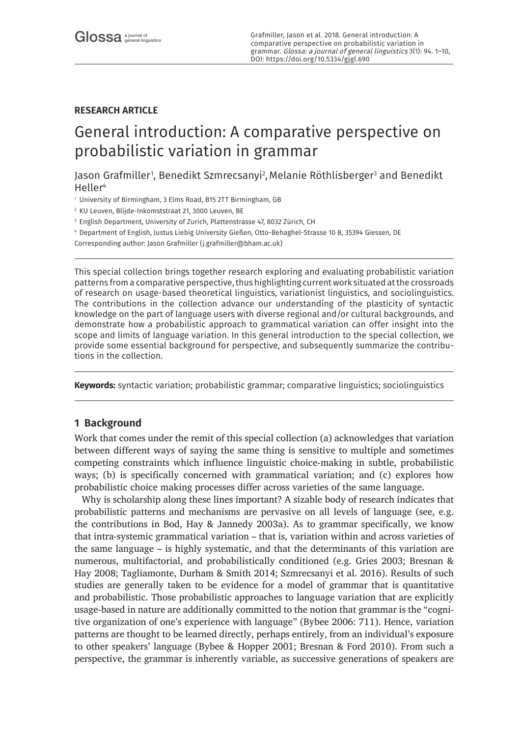### **RESEARCH ARTICLE**

# General introduction: A comparative perspective on probabilistic variation in grammar

Jason Grafmiller1, Benedikt Szmrecsanyi<sup>2</sup>, Melanie Röthlisberger<sup>3</sup> and Benedikt Heller<sup>4</sup>

<sup>1</sup> University of Birmingham, 3 Elms Road, B15 2TT Birmingham, GB

<sup>2</sup> KU Leuven, Blijde-Inkomststraat 21, 3000 Leuven, BE

<sup>3</sup> English Department, University of Zurich, Plattenstrasse 47, 8032 Zürich, CH

<sup>4</sup> Department of English, Justus Liebig University Gießen, Otto-Behaghel-Strasse 10 B, 35394 Giessen, DE

Corresponding author: Jason Grafmiller [\(j.grafmiller@bham.ac.uk](mailto:j.grafmiller@bham.ac.uk))

This special collection brings together research exploring and evaluating probabilistic variation patterns from a comparative perspective, thus highlighting current work situated at the crossroads of research on usage-based theoretical linguistics, variationist linguistics, and sociolinguistics. The contributions in the collection advance our understanding of the plasticity of syntactic knowledge on the part of language users with diverse regional and/or cultural backgrounds, and demonstrate how a probabilistic approach to grammatical variation can offer insight into the scope and limits of language variation. In this general introduction to the special collection, we provide some essential background for perspective, and subsequently summarize the contributions in the collection.

**Keywords:** syntactic variation; probabilistic grammar; comparative linguistics; sociolinguistics

### **1 Background**

Work that comes under the remit of this special collection (a) acknowledges that variation between different ways of saying the same thing is sensitive to multiple and sometimes competing constraints which influence linguistic choice-making in subtle, probabilistic ways; (b) is specifically concerned with grammatical variation; and (c) explores how probabilistic choice making processes differ across varieties of the same language.

Why is scholarship along these lines important? A sizable body of research indicates that probabilistic patterns and mechanisms are pervasive on all levels of language (see, e.g. the contributions in Bod, Hay & Jannedy 2003a). As to grammar specifically, we know that intra-systemic grammatical variation – that is, variation within and across varieties of the same language – is highly systematic, and that the determinants of this variation are numerous, multifactorial, and probabilistically conditioned (e.g. Gries 2003; Bresnan & Hay 2008; Tagliamonte, Durham & Smith 2014; Szmrecsanyi et al. 2016). Results of such studies are generally taken to be evidence for a model of grammar that is quantitative and probabilistic. Those probabilistic approaches to language variation that are explicitly usage-based in nature are additionally committed to the notion that grammar is the "cognitive organization of one's experience with language" (Bybee 2006: 711). Hence, variation patterns are thought to be learned directly, perhaps entirely, from an individual's exposure to other speakers' language (Bybee & Hopper 2001; Bresnan & Ford 2010). From such a perspective, the grammar is inherently variable, as successive generations of speakers are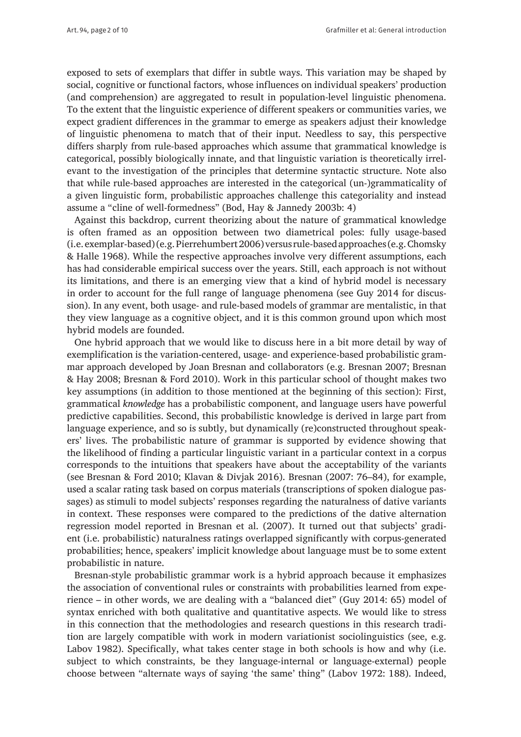exposed to sets of exemplars that differ in subtle ways. This variation may be shaped by social, cognitive or functional factors, whose influences on individual speakers' production (and comprehension) are aggregated to result in population-level linguistic phenomena. To the extent that the linguistic experience of different speakers or communities varies, we expect gradient differences in the grammar to emerge as speakers adjust their knowledge of linguistic phenomena to match that of their input. Needless to say, this perspective differs sharply from rule-based approaches which assume that grammatical knowledge is categorical, possibly biologically innate, and that linguistic variation is theoretically irrelevant to the investigation of the principles that determine syntactic structure. Note also that while rule-based approaches are interested in the categorical (un-)grammaticality of a given linguistic form, probabilistic approaches challenge this categoriality and instead assume a "cline of well-formedness" (Bod, Hay & Jannedy 2003b: 4)

Against this backdrop, current theorizing about the nature of grammatical knowledge is often framed as an opposition between two diametrical poles: fully usage-based (i.e. exemplar-based) (e.g. Pierrehumbert 2006) versus rule-based approaches (e.g. Chomsky & Halle 1968). While the respective approaches involve very different assumptions, each has had considerable empirical success over the years. Still, each approach is not without its limitations, and there is an emerging view that a kind of hybrid model is necessary in order to account for the full range of language phenomena (see Guy 2014 for discussion). In any event, both usage- and rule-based models of grammar are mentalistic, in that they view language as a cognitive object, and it is this common ground upon which most hybrid models are founded.

One hybrid approach that we would like to discuss here in a bit more detail by way of exemplification is the variation-centered, usage- and experience-based probabilistic grammar approach developed by Joan Bresnan and collaborators (e.g. Bresnan 2007; Bresnan & Hay 2008; Bresnan & Ford 2010). Work in this particular school of thought makes two key assumptions (in addition to those mentioned at the beginning of this section): First, grammatical *knowledge* has a probabilistic component, and language users have powerful predictive capabilities. Second, this probabilistic knowledge is derived in large part from language experience, and so is subtly, but dynamically (re)constructed throughout speakers' lives. The probabilistic nature of grammar is supported by evidence showing that the likelihood of finding a particular linguistic variant in a particular context in a corpus corresponds to the intuitions that speakers have about the acceptability of the variants (see Bresnan & Ford 2010; Klavan & Divjak 2016). Bresnan (2007: 76–84), for example, used a scalar rating task based on corpus materials (transcriptions of spoken dialogue passages) as stimuli to model subjects' responses regarding the naturalness of dative variants in context. These responses were compared to the predictions of the dative alternation regression model reported in Bresnan et al. (2007). It turned out that subjects' gradient (i.e. probabilistic) naturalness ratings overlapped significantly with corpus-generated probabilities; hence, speakers' implicit knowledge about language must be to some extent probabilistic in nature.

Bresnan-style probabilistic grammar work is a hybrid approach because it emphasizes the association of conventional rules or constraints with probabilities learned from experience – in other words, we are dealing with a "balanced diet" (Guy 2014: 65) model of syntax enriched with both qualitative and quantitative aspects. We would like to stress in this connection that the methodologies and research questions in this research tradition are largely compatible with work in modern variationist sociolinguistics (see, e.g. Labov 1982). Specifically, what takes center stage in both schools is how and why (i.e. subject to which constraints, be they language-internal or language-external) people choose between "alternate ways of saying 'the same' thing" (Labov 1972: 188). Indeed,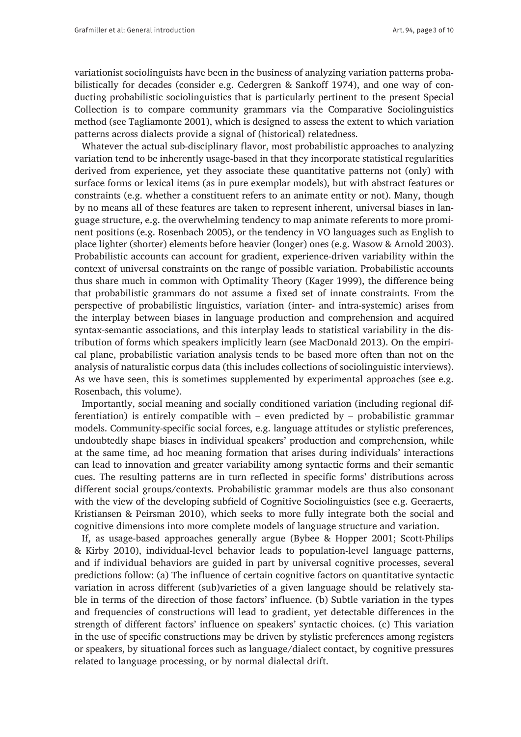variationist sociolinguists have been in the business of analyzing variation patterns probabilistically for decades (consider e.g. Cedergren & Sankoff 1974), and one way of conducting probabilistic sociolinguistics that is particularly pertinent to the present Special Collection is to compare community grammars via the Comparative Sociolinguistics method (see Tagliamonte 2001), which is designed to assess the extent to which variation patterns across dialects provide a signal of (historical) relatedness.

Whatever the actual sub-disciplinary flavor, most probabilistic approaches to analyzing variation tend to be inherently usage-based in that they incorporate statistical regularities derived from experience, yet they associate these quantitative patterns not (only) with surface forms or lexical items (as in pure exemplar models), but with abstract features or constraints (e.g. whether a constituent refers to an animate entity or not). Many, though by no means all of these features are taken to represent inherent, universal biases in language structure, e.g. the overwhelming tendency to map animate referents to more prominent positions (e.g. Rosenbach 2005), or the tendency in VO languages such as English to place lighter (shorter) elements before heavier (longer) ones (e.g. Wasow & Arnold 2003). Probabilistic accounts can account for gradient, experience-driven variability within the context of universal constraints on the range of possible variation. Probabilistic accounts thus share much in common with Optimality Theory (Kager 1999), the difference being that probabilistic grammars do not assume a fixed set of innate constraints. From the perspective of probabilistic linguistics, variation (inter- and intra-systemic) arises from the interplay between biases in language production and comprehension and acquired syntax-semantic associations, and this interplay leads to statistical variability in the distribution of forms which speakers implicitly learn (see MacDonald 2013). On the empirical plane, probabilistic variation analysis tends to be based more often than not on the analysis of naturalistic corpus data (this includes collections of sociolinguistic interviews). As we have seen, this is sometimes supplemented by experimental approaches (see e.g. Rosenbach, this volume).

Importantly, social meaning and socially conditioned variation (including regional differentiation) is entirely compatible with – even predicted by – probabilistic grammar models. Community-specific social forces, e.g. language attitudes or stylistic preferences, undoubtedly shape biases in individual speakers' production and comprehension, while at the same time, ad hoc meaning formation that arises during individuals' interactions can lead to innovation and greater variability among syntactic forms and their semantic cues. The resulting patterns are in turn reflected in specific forms' distributions across different social groups/contexts. Probabilistic grammar models are thus also consonant with the view of the developing subfield of Cognitive Sociolinguistics (see e.g. Geeraerts, Kristiansen & Peirsman 2010), which seeks to more fully integrate both the social and cognitive dimensions into more complete models of language structure and variation.

If, as usage-based approaches generally argue (Bybee & Hopper 2001; Scott-Philips & Kirby 2010), individual-level behavior leads to population-level language patterns, and if individual behaviors are guided in part by universal cognitive processes, several predictions follow: (a) The influence of certain cognitive factors on quantitative syntactic variation in across different (sub)varieties of a given language should be relatively stable in terms of the direction of those factors' influence. (b) Subtle variation in the types and frequencies of constructions will lead to gradient, yet detectable differences in the strength of different factors' influence on speakers' syntactic choices. (c) This variation in the use of specific constructions may be driven by stylistic preferences among registers or speakers, by situational forces such as language/dialect contact, by cognitive pressures related to language processing, or by normal dialectal drift.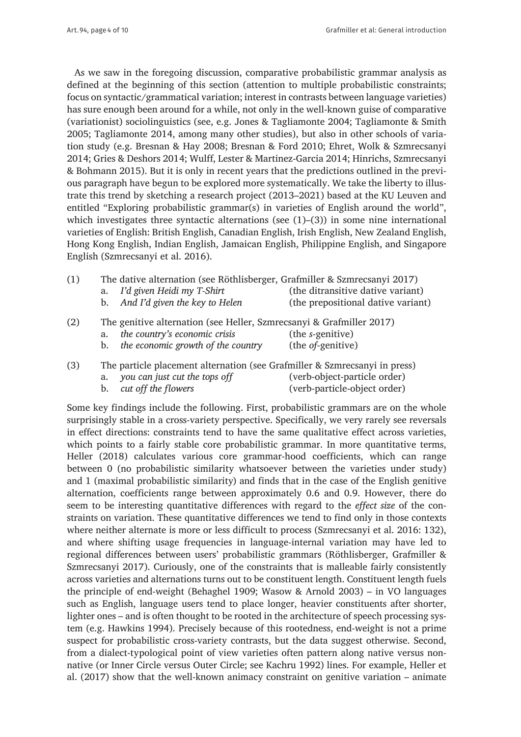As we saw in the foregoing discussion, comparative probabilistic grammar analysis as defined at the beginning of this section (attention to multiple probabilistic constraints; focus on syntactic/grammatical variation; interest in contrasts between language varieties) has sure enough been around for a while, not only in the well-known guise of comparative (variationist) sociolinguistics (see, e.g. Jones & Tagliamonte 2004; Tagliamonte & Smith 2005; Tagliamonte 2014, among many other studies), but also in other schools of variation study (e.g. Bresnan & Hay 2008; Bresnan & Ford 2010; Ehret, Wolk & Szmrecsanyi 2014; Gries & Deshors 2014; Wulff, Lester & Martinez-Garcia 2014; Hinrichs, Szmrecsanyi & Bohmann 2015). But it is only in recent years that the predictions outlined in the previous paragraph have begun to be explored more systematically. We take the liberty to illustrate this trend by sketching a research project (2013–2021) based at the KU Leuven and entitled "Exploring probabilistic grammar(s) in varieties of English around the world", which investigates three syntactic alternations (see (1)–(3)) in some nine international varieties of English: British English, Canadian English, Irish English, New Zealand English, Hong Kong English, Indian English, Jamaican English, Philippine English, and Singapore English (Szmrecsanyi et al. 2016).

| (1) |                                                                      | The dative alternation (see Röthlisberger, Grafmiller & Szmrecsanyi 2017) |                                    |  |
|-----|----------------------------------------------------------------------|---------------------------------------------------------------------------|------------------------------------|--|
|     |                                                                      | a. I'd given Heidi my T-Shirt                                             | (the ditransitive dative variant)  |  |
|     |                                                                      | b. And I'd given the key to Helen                                         | (the prepositional dative variant) |  |
| (2) | The genitive alternation (see Heller, Szmrecsanyi & Grafmiller 2017) |                                                                           |                                    |  |
|     | a.                                                                   | the country's economic crisis                                             | (the s-genitive)                   |  |
|     | b.                                                                   | the economic growth of the country                                        | (the <i>of-genitive</i> )          |  |

| (3) |                                  | The particle placement alternation (see Grafmiller & Szmrecsanyi in press) |
|-----|----------------------------------|----------------------------------------------------------------------------|
|     | a. you can just cut the tops off | (verb-object-particle order)                                               |
|     | b. cut off the flowers           | (verb-particle-object order)                                               |

Some key findings include the following. First, probabilistic grammars are on the whole surprisingly stable in a cross-variety perspective. Specifically, we very rarely see reversals in effect directions: constraints tend to have the same qualitative effect across varieties, which points to a fairly stable core probabilistic grammar. In more quantitative terms, Heller (2018) calculates various core grammar-hood coefficients, which can range between 0 (no probabilistic similarity whatsoever between the varieties under study) and 1 (maximal probabilistic similarity) and finds that in the case of the English genitive alternation, coefficients range between approximately 0.6 and 0.9. However, there do seem to be interesting quantitative differences with regard to the *effect size* of the constraints on variation. These quantitative differences we tend to find only in those contexts where neither alternate is more or less difficult to process (Szmrecsanyi et al. 2016: 132), and where shifting usage frequencies in language-internal variation may have led to regional differences between users' probabilistic grammars (Röthlisberger, Grafmiller & Szmrecsanyi 2017). Curiously, one of the constraints that is malleable fairly consistently across varieties and alternations turns out to be constituent length. Constituent length fuels the principle of end-weight (Behaghel 1909; Wasow & Arnold 2003) – in VO languages such as English, language users tend to place longer, heavier constituents after shorter, lighter ones – and is often thought to be rooted in the architecture of speech processing system (e.g. Hawkins 1994). Precisely because of this rootedness, end-weight is not a prime suspect for probabilistic cross-variety contrasts, but the data suggest otherwise. Second, from a dialect-typological point of view varieties often pattern along native versus nonnative (or Inner Circle versus Outer Circle; see Kachru 1992) lines. For example, Heller et al. (2017) show that the well-known animacy constraint on genitive variation – animate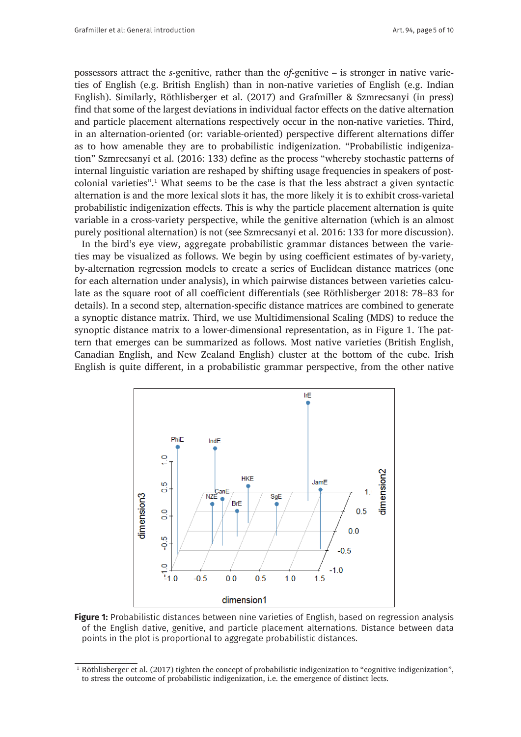possessors attract the *s*-genitive, rather than the *of*-genitive – is stronger in native varieties of English (e.g. British English) than in non-native varieties of English (e.g. Indian English). Similarly, Röthlisberger et al. (2017) and Grafmiller & Szmrecsanyi (in press) find that some of the largest deviations in individual factor effects on the dative alternation and particle placement alternations respectively occur in the non-native varieties. Third, in an alternation-oriented (or: variable-oriented) perspective different alternations differ as to how amenable they are to probabilistic indigenization. "Probabilistic indigenization" Szmrecsanyi et al. (2016: 133) define as the process "whereby stochastic patterns of internal linguistic variation are reshaped by shifting usage frequencies in speakers of postcolonial varieties".1 What seems to be the case is that the less abstract a given syntactic alternation is and the more lexical slots it has, the more likely it is to exhibit cross-varietal probabilistic indigenization effects. This is why the particle placement alternation is quite variable in a cross-variety perspective, while the genitive alternation (which is an almost purely positional alternation) is not (see Szmrecsanyi et al. 2016: 133 for more discussion).

In the bird's eye view, aggregate probabilistic grammar distances between the varieties may be visualized as follows. We begin by using coefficient estimates of by-variety, by-alternation regression models to create a series of Euclidean distance matrices (one for each alternation under analysis), in which pairwise distances between varieties calculate as the square root of all coefficient differentials (see Röthlisberger 2018: 78–83 for details). In a second step, alternation-specific distance matrices are combined to generate a synoptic distance matrix. Third, we use Multidimensional Scaling (MDS) to reduce the synoptic distance matrix to a lower-dimensional representation, as in Figure 1. The pattern that emerges can be summarized as follows. Most native varieties (British English, Canadian English, and New Zealand English) cluster at the bottom of the cube. Irish English is quite different, in a probabilistic grammar perspective, from the other native



**Figure 1:** Probabilistic distances between nine varieties of English, based on regression analysis of the English dative, genitive, and particle placement alternations. Distance between data points in the plot is proportional to aggregate probabilistic distances.

<sup>1</sup> Röthlisberger et al. (2017) tighten the concept of probabilistic indigenization to "cognitive indigenization", to stress the outcome of probabilistic indigenization, i.e. the emergence of distinct lects.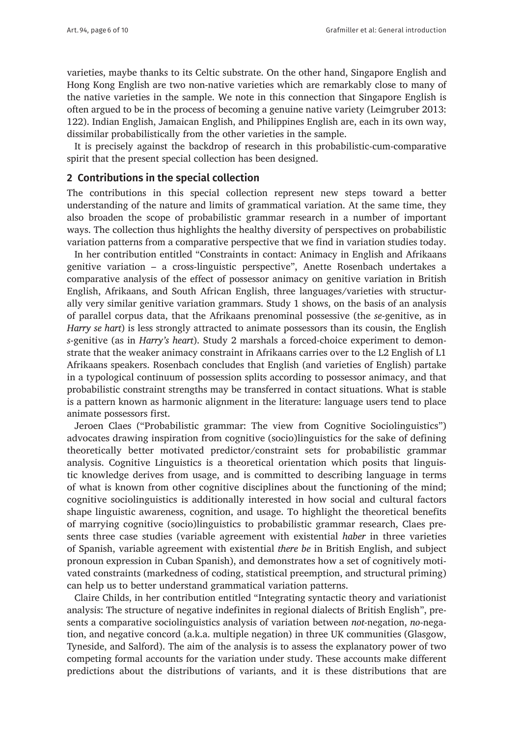varieties, maybe thanks to its Celtic substrate. On the other hand, Singapore English and Hong Kong English are two non-native varieties which are remarkably close to many of the native varieties in the sample. We note in this connection that Singapore English is often argued to be in the process of becoming a genuine native variety (Leimgruber 2013: 122). Indian English, Jamaican English, and Philippines English are, each in its own way, dissimilar probabilistically from the other varieties in the sample.

It is precisely against the backdrop of research in this probabilistic-cum-comparative spirit that the present special collection has been designed.

### **2 Contributions in the special collection**

The contributions in this special collection represent new steps toward a better understanding of the nature and limits of grammatical variation. At the same time, they also broaden the scope of probabilistic grammar research in a number of important ways. The collection thus highlights the healthy diversity of perspectives on probabilistic variation patterns from a comparative perspective that we find in variation studies today.

In her contribution entitled "Constraints in contact: Animacy in English and Afrikaans genitive variation – a cross-linguistic perspective", Anette Rosenbach undertakes a comparative analysis of the effect of possessor animacy on genitive variation in British English, Afrikaans, and South African English, three languages/varieties with structurally very similar genitive variation grammars. Study 1 shows, on the basis of an analysis of parallel corpus data, that the Afrikaans prenominal possessive (the *se*-genitive, as in *Harry se hart*) is less strongly attracted to animate possessors than its cousin, the English *s*-genitive (as in *Harry's heart*). Study 2 marshals a forced-choice experiment to demonstrate that the weaker animacy constraint in Afrikaans carries over to the L2 English of L1 Afrikaans speakers. Rosenbach concludes that English (and varieties of English) partake in a typological continuum of possession splits according to possessor animacy, and that probabilistic constraint strengths may be transferred in contact situations. What is stable is a pattern known as harmonic alignment in the literature: language users tend to place animate possessors first.

Jeroen Claes ("Probabilistic grammar: The view from Cognitive Sociolinguistics") advocates drawing inspiration from cognitive (socio)linguistics for the sake of defining theoretically better motivated predictor/constraint sets for probabilistic grammar analysis. Cognitive Linguistics is a theoretical orientation which posits that linguistic knowledge derives from usage, and is committed to describing language in terms of what is known from other cognitive disciplines about the functioning of the mind; cognitive sociolinguistics is additionally interested in how social and cultural factors shape linguistic awareness, cognition, and usage. To highlight the theoretical benefits of marrying cognitive (socio)linguistics to probabilistic grammar research, Claes presents three case studies (variable agreement with existential *haber* in three varieties of Spanish, variable agreement with existential *there be* in British English, and subject pronoun expression in Cuban Spanish), and demonstrates how a set of cognitively motivated constraints (markedness of coding, statistical preemption, and structural priming) can help us to better understand grammatical variation patterns.

Claire Childs, in her contribution entitled "Integrating syntactic theory and variationist analysis: The structure of negative indefinites in regional dialects of British English", presents a comparative sociolinguistics analysis of variation between *not*-negation, *no*-negation, and negative concord (a.k.a. multiple negation) in three UK communities (Glasgow, Tyneside, and Salford). The aim of the analysis is to assess the explanatory power of two competing formal accounts for the variation under study. These accounts make different predictions about the distributions of variants, and it is these distributions that are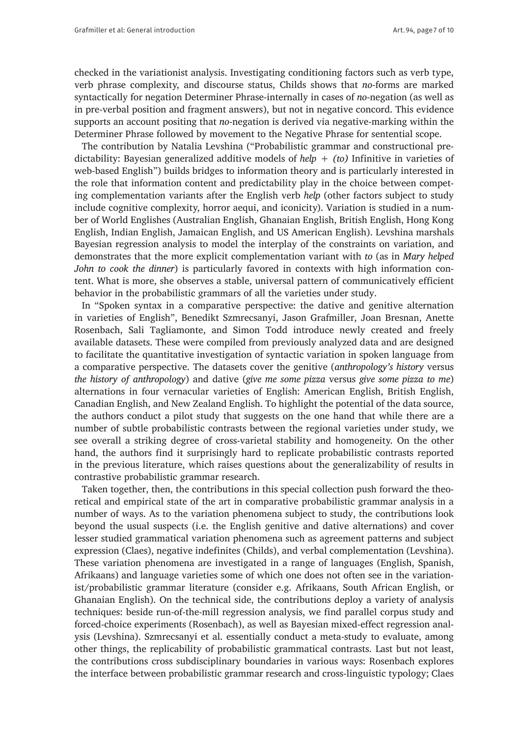checked in the variationist analysis. Investigating conditioning factors such as verb type, verb phrase complexity, and discourse status, Childs shows that *no*-forms are marked syntactically for negation Determiner Phrase-internally in cases of *no*-negation (as well as in pre-verbal position and fragment answers), but not in negative concord. This evidence supports an account positing that *no*-negation is derived via negative-marking within the Determiner Phrase followed by movement to the Negative Phrase for sentential scope.

The contribution by Natalia Levshina ("Probabilistic grammar and constructional predictability: Bayesian generalized additive models of *help + (to)* Infinitive in varieties of web-based English") builds bridges to information theory and is particularly interested in the role that information content and predictability play in the choice between competing complementation variants after the English verb *help* (other factors subject to study include cognitive complexity, horror aequi, and iconicity). Variation is studied in a number of World Englishes (Australian English, Ghanaian English, British English, Hong Kong English, Indian English, Jamaican English, and US American English). Levshina marshals Bayesian regression analysis to model the interplay of the constraints on variation, and demonstrates that the more explicit complementation variant with *to* (as in *Mary helped John to cook the dinner*) is particularly favored in contexts with high information content. What is more, she observes a stable, universal pattern of communicatively efficient behavior in the probabilistic grammars of all the varieties under study.

In "Spoken syntax in a comparative perspective: the dative and genitive alternation in varieties of English", Benedikt Szmrecsanyi, Jason Grafmiller, Joan Bresnan, Anette Rosenbach, Sali Tagliamonte, and Simon Todd introduce newly created and freely available datasets. These were compiled from previously analyzed data and are designed to facilitate the quantitative investigation of syntactic variation in spoken language from a comparative perspective. The datasets cover the genitive (*anthropology's history* versus *the history of anthropology*) and dative (*give me some pizza* versus *give some pizza to me*) alternations in four vernacular varieties of English: American English, British English, Canadian English, and New Zealand English. To highlight the potential of the data source, the authors conduct a pilot study that suggests on the one hand that while there are a number of subtle probabilistic contrasts between the regional varieties under study, we see overall a striking degree of cross-varietal stability and homogeneity. On the other hand, the authors find it surprisingly hard to replicate probabilistic contrasts reported in the previous literature, which raises questions about the generalizability of results in contrastive probabilistic grammar research.

Taken together, then, the contributions in this special collection push forward the theoretical and empirical state of the art in comparative probabilistic grammar analysis in a number of ways. As to the variation phenomena subject to study, the contributions look beyond the usual suspects (i.e. the English genitive and dative alternations) and cover lesser studied grammatical variation phenomena such as agreement patterns and subject expression (Claes), negative indefinites (Childs), and verbal complementation (Levshina). These variation phenomena are investigated in a range of languages (English, Spanish, Afrikaans) and language varieties some of which one does not often see in the variationist/probabilistic grammar literature (consider e.g. Afrikaans, South African English, or Ghanaian English). On the technical side, the contributions deploy a variety of analysis techniques: beside run-of-the-mill regression analysis, we find parallel corpus study and forced-choice experiments (Rosenbach), as well as Bayesian mixed-effect regression analysis (Levshina). Szmrecsanyi et al. essentially conduct a meta-study to evaluate, among other things, the replicability of probabilistic grammatical contrasts. Last but not least, the contributions cross subdisciplinary boundaries in various ways: Rosenbach explores the interface between probabilistic grammar research and cross-linguistic typology; Claes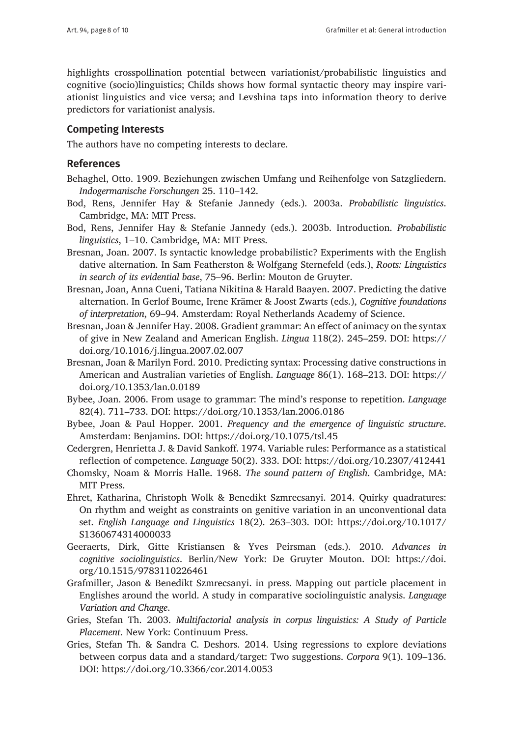highlights crosspollination potential between variationist/probabilistic linguistics and cognitive (socio)linguistics; Childs shows how formal syntactic theory may inspire variationist linguistics and vice versa; and Levshina taps into information theory to derive predictors for variationist analysis.

### **Competing Interests**

The authors have no competing interests to declare.

### **References**

- Behaghel, Otto. 1909. Beziehungen zwischen Umfang und Reihenfolge von Satzgliedern. *Indogermanische Forschungen* 25. 110–142.
- Bod, Rens, Jennifer Hay & Stefanie Jannedy (eds.). 2003a. *Probabilistic linguistics*. Cambridge, MA: MIT Press.
- Bod, Rens, Jennifer Hay & Stefanie Jannedy (eds.). 2003b. Introduction. *Probabilistic linguistics*, 1–10. Cambridge, MA: MIT Press.
- Bresnan, Joan. 2007. Is syntactic knowledge probabilistic? Experiments with the English dative alternation. In Sam Featherston & Wolfgang Sternefeld (eds.), *Roots: Linguistics in search of its evidential base*, 75–96. Berlin: Mouton de Gruyter.
- Bresnan, Joan, Anna Cueni, Tatiana Nikitina & Harald Baayen. 2007. Predicting the dative alternation. In Gerlof Boume, Irene Krämer & Joost Zwarts (eds.), *Cognitive foundations of interpretation*, 69–94. Amsterdam: Royal Netherlands Academy of Science.
- Bresnan, Joan & Jennifer Hay. 2008. Gradient grammar: An effect of animacy on the syntax of give in New Zealand and American English. *Lingua* 118(2). 245–259. DOI: [https://](https://doi.org/10.1016/j.lingua.2007.02.007) [doi.org/10.1016/j.lingua.2007.02.007](https://doi.org/10.1016/j.lingua.2007.02.007)
- Bresnan, Joan & Marilyn Ford. 2010. Predicting syntax: Processing dative constructions in American and Australian varieties of English. *Language* 86(1). 168–213. DOI: [https://](https://doi.org/10.1353/lan.0.0189) [doi.org/10.1353/lan.0.0189](https://doi.org/10.1353/lan.0.0189)
- Bybee, Joan. 2006. From usage to grammar: The mind's response to repetition. *Language* 82(4). 711–733. DOI:<https://doi.org/10.1353/lan.2006.0186>
- Bybee, Joan & Paul Hopper. 2001. *Frequency and the emergence of linguistic structure*. Amsterdam: Benjamins. DOI:<https://doi.org/10.1075/tsl.45>
- Cedergren, Henrietta J. & David Sankoff. 1974. Variable rules: Performance as a statistical reflection of competence. *Language* 50(2). 333. DOI:<https://doi.org/10.2307/412441>
- Chomsky, Noam & Morris Halle. 1968. *The sound pattern of English*. Cambridge, MA: MIT Press.
- Ehret, Katharina, Christoph Wolk & Benedikt Szmrecsanyi. 2014. Quirky quadratures: On rhythm and weight as constraints on genitive variation in an unconventional data set. *English Language and Linguistics* 18(2). 263–303. DOI: [https://doi.org/10.1017/](https://doi.org/10.1017/S1360674314000033) [S1360674314000033](https://doi.org/10.1017/S1360674314000033)
- Geeraerts, Dirk, Gitte Kristiansen & Yves Peirsman (eds.). 2010. *Advances in cognitive sociolinguistics*. Berlin/New York: De Gruyter Mouton. DOI: [https://doi.](https://doi.org/10.1515/9783110226461) [org/10.1515/9783110226461](https://doi.org/10.1515/9783110226461)
- Grafmiller, Jason & Benedikt Szmrecsanyi. in press. Mapping out particle placement in Englishes around the world. A study in comparative sociolinguistic analysis. *Language Variation and Change*.
- Gries, Stefan Th. 2003. *Multifactorial analysis in corpus linguistics: A Study of Particle Placement*. New York: Continuum Press.
- Gries, Stefan Th. & Sandra C. Deshors. 2014. Using regressions to explore deviations between corpus data and a standard/target: Two suggestions. *Corpora* 9(1). 109–136. DOI:<https://doi.org/10.3366/cor.2014.0053>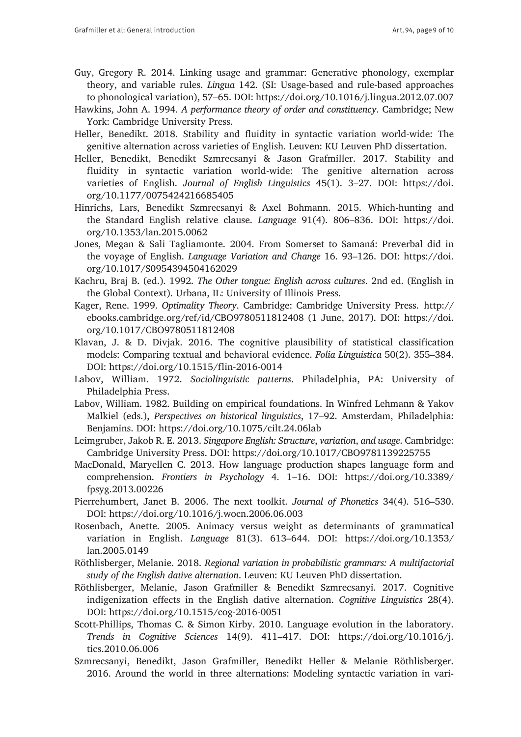- Guy, Gregory R. 2014. Linking usage and grammar: Generative phonology, exemplar theory, and variable rules. *Lingua* 142. (SI: Usage-based and rule-based approaches to phonological variation), 57–65. DOI:<https://doi.org/10.1016/j.lingua.2012.07.007>
- Hawkins, John A. 1994. *A performance theory of order and constituency*. Cambridge; New York: Cambridge University Press.
- Heller, Benedikt. 2018. Stability and fluidity in syntactic variation world-wide: The genitive alternation across varieties of English. Leuven: KU Leuven PhD dissertation.
- Heller, Benedikt, Benedikt Szmrecsanyi & Jason Grafmiller. 2017. Stability and fluidity in syntactic variation world-wide: The genitive alternation across varieties of English. *Journal of English Linguistics* 45(1). 3–27. DOI: [https://doi.](https://doi.org/10.1177/0075424216685405) [org/10.1177/0075424216685405](https://doi.org/10.1177/0075424216685405)
- Hinrichs, Lars, Benedikt Szmrecsanyi & Axel Bohmann. 2015. Which-hunting and the Standard English relative clause. *Language* 91(4). 806–836. DOI: [https://doi.](https://doi.org/10.1353/lan.2015.0062) [org/10.1353/lan.2015.0062](https://doi.org/10.1353/lan.2015.0062)
- Jones, Megan & Sali Tagliamonte. 2004. From Somerset to Samaná: Preverbal did in the voyage of English. *Language Variation and Change* 16. 93–126. DOI: [https://doi.](https://doi.org/10.1017/S0954394504162029) [org/10.1017/S0954394504162029](https://doi.org/10.1017/S0954394504162029)
- Kachru, Braj B. (ed.). 1992. *The Other tongue: English across cultures*. 2nd ed. (English in the Global Context). Urbana, IL: University of Illinois Press.
- Kager, Rene. 1999. *Optimality Theory*. Cambridge: Cambridge University Press. [http://](http://ebooks.cambridge.org/ref/id/CBO9780511812408) [ebooks.cambridge.org/ref/id/CBO9780511812408](http://ebooks.cambridge.org/ref/id/CBO9780511812408) (1 June, 2017). DOI: [https://doi.](https://doi.org/10.1017/CBO9780511812408) [org/10.1017/CBO9780511812408](https://doi.org/10.1017/CBO9780511812408)
- Klavan, J. & D. Divjak. 2016. The cognitive plausibility of statistical classification models: Comparing textual and behavioral evidence. *Folia Linguistica* 50(2). 355–384. DOI: <https://doi.org/10.1515/flin-2016-0014>
- Labov, William. 1972. *Sociolinguistic patterns*. Philadelphia, PA: University of Philadelphia Press.
- Labov, William. 1982. Building on empirical foundations. In Winfred Lehmann & Yakov Malkiel (eds.), *Perspectives on historical linguistics*, 17–92. Amsterdam, Philadelphia: Benjamins. DOI: <https://doi.org/10.1075/cilt.24.06lab>
- Leimgruber, Jakob R. E. 2013. *Singapore English: Structure*, *variation*, *and usage*. Cambridge: Cambridge University Press. DOI: <https://doi.org/10.1017/CBO9781139225755>
- MacDonald, Maryellen C. 2013. How language production shapes language form and comprehension. *Frontiers in Psychology* 4. 1–16. DOI: [https://doi.org/10.3389/](https://doi.org/10.3389/fpsyg.2013.00226) [fpsyg.2013.00226](https://doi.org/10.3389/fpsyg.2013.00226)
- Pierrehumbert, Janet B. 2006. The next toolkit. *Journal of Phonetics* 34(4). 516–530. DOI: <https://doi.org/10.1016/j.wocn.2006.06.003>
- Rosenbach, Anette. 2005. Animacy versus weight as determinants of grammatical variation in English. *Language* 81(3). 613–644. DOI: [https://doi.org/10.1353/](https://doi.org/10.1353/lan.2005.0149) [lan.2005.0149](https://doi.org/10.1353/lan.2005.0149)
- Röthlisberger, Melanie. 2018. *Regional variation in probabilistic grammars: A multifactorial study of the English dative alternation*. Leuven: KU Leuven PhD dissertation.
- Röthlisberger, Melanie, Jason Grafmiller & Benedikt Szmrecsanyi. 2017. Cognitive indigenization effects in the English dative alternation. *Cognitive Linguistics* 28(4). DOI: <https://doi.org/10.1515/cog-2016-0051>
- Scott-Phillips, Thomas C. & Simon Kirby. 2010. Language evolution in the laboratory. *Trends in Cognitive Sciences* 14(9). 411–417. DOI: [https://doi.org/10.1016/j.](https://doi.org/10.1016/j.tics.2010.06.006) [tics.2010.06.006](https://doi.org/10.1016/j.tics.2010.06.006)
- Szmrecsanyi, Benedikt, Jason Grafmiller, Benedikt Heller & Melanie Röthlisberger. 2016. Around the world in three alternations: Modeling syntactic variation in vari-